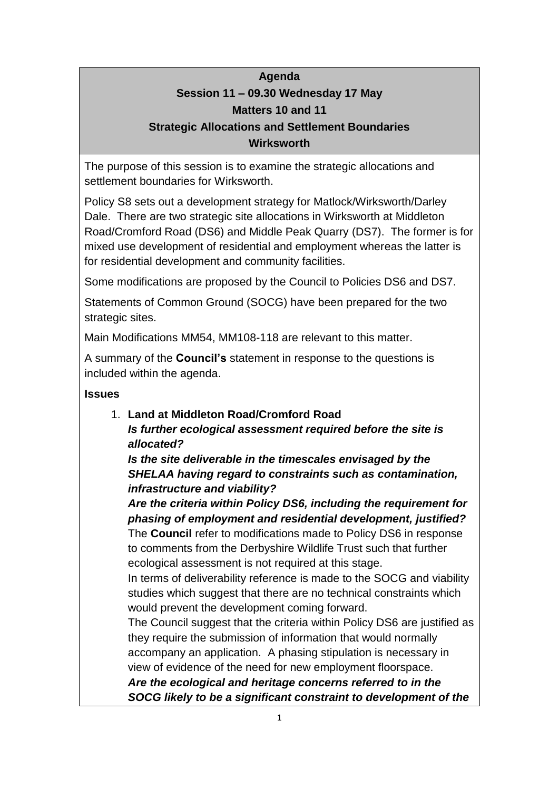# **Agenda Session 11 – 09.30 Wednesday 17 May Matters 10 and 11 Strategic Allocations and Settlement Boundaries**

## **Wirksworth**

The purpose of this session is to examine the strategic allocations and settlement boundaries for Wirksworth.

Policy S8 sets out a development strategy for Matlock/Wirksworth/Darley Dale. There are two strategic site allocations in Wirksworth at Middleton Road/Cromford Road (DS6) and Middle Peak Quarry (DS7). The former is for mixed use development of residential and employment whereas the latter is for residential development and community facilities.

Some modifications are proposed by the Council to Policies DS6 and DS7.

Statements of Common Ground (SOCG) have been prepared for the two strategic sites.

Main Modifications MM54, MM108-118 are relevant to this matter.

A summary of the **Council's** statement in response to the questions is included within the agenda.

### **Issues**

1. **Land at Middleton Road/Cromford Road**

*Is further ecological assessment required before the site is allocated?*

*Is the site deliverable in the timescales envisaged by the SHELAA having regard to constraints such as contamination, infrastructure and viability?*

*Are the criteria within Policy DS6, including the requirement for phasing of employment and residential development, justified?* The **Council** refer to modifications made to Policy DS6 in response to comments from the Derbyshire Wildlife Trust such that further ecological assessment is not required at this stage.

In terms of deliverability reference is made to the SOCG and viability studies which suggest that there are no technical constraints which would prevent the development coming forward.

The Council suggest that the criteria within Policy DS6 are justified as they require the submission of information that would normally accompany an application. A phasing stipulation is necessary in view of evidence of the need for new employment floorspace.

*Are the ecological and heritage concerns referred to in the SOCG likely to be a significant constraint to development of the*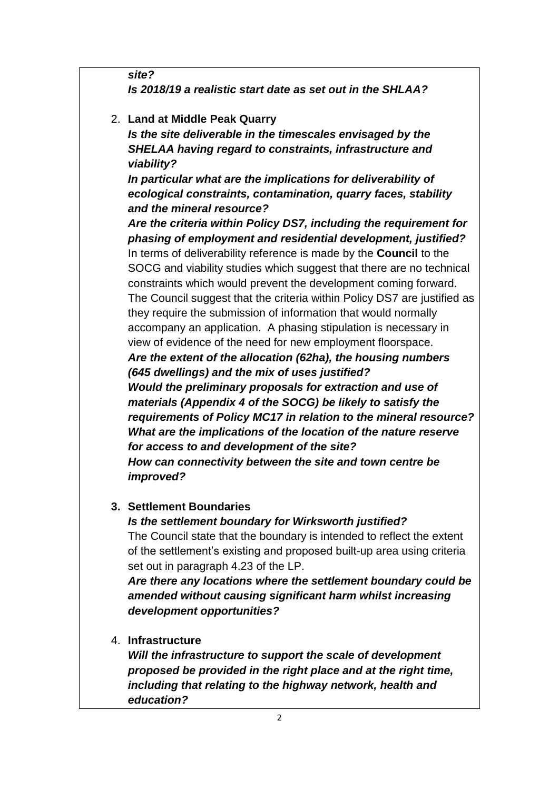*site? Is 2018/19 a realistic start date as set out in the SHLAA?*

2. **Land at Middle Peak Quarry** *Is the site deliverable in the timescales envisaged by the SHELAA having regard to constraints, infrastructure and viability?*

*In particular what are the implications for deliverability of ecological constraints, contamination, quarry faces, stability and the mineral resource?*

*Are the criteria within Policy DS7, including the requirement for phasing of employment and residential development, justified?* In terms of deliverability reference is made by the **Council** to the SOCG and viability studies which suggest that there are no technical constraints which would prevent the development coming forward. The Council suggest that the criteria within Policy DS7 are justified as they require the submission of information that would normally accompany an application. A phasing stipulation is necessary in view of evidence of the need for new employment floorspace. *Are the extent of the allocation (62ha), the housing numbers (645 dwellings) and the mix of uses justified? Would the preliminary proposals for extraction and use of materials (Appendix 4 of the SOCG) be likely to satisfy the requirements of Policy MC17 in relation to the mineral resource? What are the implications of the location of the nature reserve for access to and development of the site? How can connectivity between the site and town centre be* 

### *improved?*

#### **3. Settlement Boundaries**

*Is the settlement boundary for Wirksworth justified?* The Council state that the boundary is intended to reflect the extent of the settlement's existing and proposed built-up area using criteria set out in paragraph 4.23 of the LP.

*Are there any locations where the settlement boundary could be amended without causing significant harm whilst increasing development opportunities?*

4. **Infrastructure**

*Will the infrastructure to support the scale of development proposed be provided in the right place and at the right time, including that relating to the highway network, health and education?*